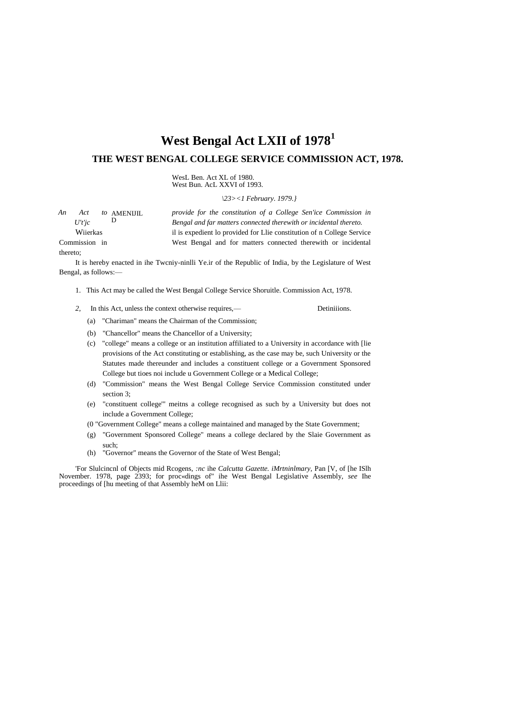# West Bengal Act LXII of 1978<sup>1</sup>

## THE WEST BENGAL COLLEGE SERVICE COMMISSION ACT, 1978.

WesL Ben. Act XL of 1980.<br>West Bun. AcL XXVI of 1993.

 $|23><1$  February. 1979.

Detiniiions.

| An<br>Act to AMENIII. | provide for the constitution of a College Sen'ice Commission in        |  |
|-----------------------|------------------------------------------------------------------------|--|
| U't'ic                | Bengal and far matters connected therewith or incidental thereto.      |  |
| Wiierkas              | il is expedient lo provided for Llie constitution of n College Service |  |
| Commission in         | West Bengal and for matters connected therewith or incidental          |  |
| thereto:              |                                                                        |  |

It is hereby enacted in ihe Twcniy-ninlli Ye.ir of the Republic of India, by the Legislature of West Bengal, as follows:-

- 1. This Act may be called the West Bengal College Service Shoruitle. Commission Act, 1978.
- 2. In this Act, unless the context otherwise requires,—
	- (a) "Chariman" means the Chairman of the Commission;
	- (b) "Chancellor" means the Chancellor of a University;
	- (c) "college" means a college or an institution affiliated to a University in accordance with [lie provisions of the Act constituting or establishing, as the case may be, such University or the Statutes made thereunder and includes a constituent college or a Government Sponsored College but tioes noi include u Government College or a Medical College;
	- (d) "Commission" means the West Bengal College Service Commission constituted under section 3:
	- (e) "constituent college" meitns a college recognised as such by a University but does not include a Government College;
	- (0 "Government College" means a college maintained and managed by the State Government;
	- (g) "Government Sponsored College" means a college declared by the Slaie Government as such:
	- "Governor" means the Governor of the State of West Bengal;  $(h)$

'For Slulcinenl of Objects mid Rcogens, *nc* ihe Calcutta Gazette. iMrtninlmary, Pan [V, of [he ISIh November. 1978, page 2393; for proc«dings of" ihe West Bengal Legislative Assembly, *see* Ihe proceedings of [hu meeting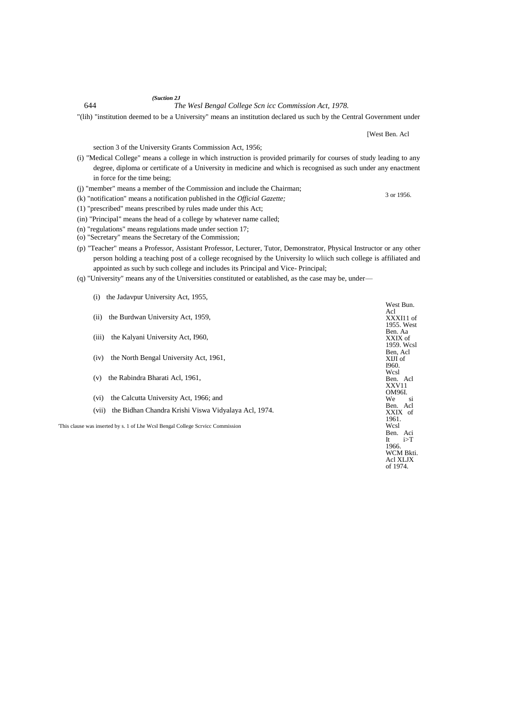644 *The Wesl Bengal College Scn icc Commission Act, 1978.*

"(lih) "institution deemed to be a University" means an institution declared us such by the Central Government under

section 3 of the University Grants Commission Act, 1956;

- (i) "Medical College" means a college in which instruction is provided primarily for courses of study leading to any degree, diploma or certificate of a University in medicine and which is recognised as such under any enactment in force for the time being;
- (j) "member" means a member of the Commission and include the Chairman;
- (k) "notification" means a notification published in the *Official Gazette;*
- (1) "prescribed" means prescribed by rules made under this Act;

*(Suction 2J*

- (in) "Principal" means the head of a college by whatever name called;
- (n) "regulations" means regulations made under section 17;
- (o) "Secretary" means the Secretary of the Commission;

(i) the Jadavpur University Act, 1955,

- (p) "Teacher" means a Professor, Assistant Professor, Lecturer, Tutor, Demonstrator, Physical Instructor or any other person holding a teaching post of a college recognised by the University lo wliich such college is affiliated and appointed as such by such college and includes its Principal and Vice- Principal;
- (q) "University" means any of the Universities constituted or eatablished, as the case may be, under—

|                                                                                |                                                               | West Bun.<br>Acl        |
|--------------------------------------------------------------------------------|---------------------------------------------------------------|-------------------------|
|                                                                                | the Burdwan University Act, 1959,<br>(ii)                     | XXXI11 of<br>1955. West |
|                                                                                | the Kalyani University Act, 1960,<br>(iii)                    | Ben. Aa<br>XXIX of      |
|                                                                                |                                                               | 1959. Wcsl<br>Ben, Acl  |
|                                                                                | the North Bengal University Act, 1961,<br>(iv)                | XIJI of<br>I960.        |
|                                                                                |                                                               | Wcsl                    |
|                                                                                | the Rabindra Bharati Acl, 1961,<br>(v)                        | Ben. Acl<br>XXV11       |
|                                                                                | the Calcutta University Act, 1966; and<br>(vi)                | OM96I.<br>We<br>-si     |
|                                                                                | the Bidhan Chandra Krishi Viswa Vidyalaya Acl, 1974.<br>(vii) | Ben. Acl<br>XXIX of     |
| This clause was inserted by s. 1 of Lhe Wcsl Bengal College Scrvice Commission |                                                               | 1961.<br>Wcsl           |
|                                                                                |                                                               | Ben. Aci<br>i>T<br>It   |
|                                                                                |                                                               | 1966.                   |
|                                                                                |                                                               | WCM Bkti.<br>Acl XLJX   |

[West Ben. Acl

3 or 1956.

of 1974.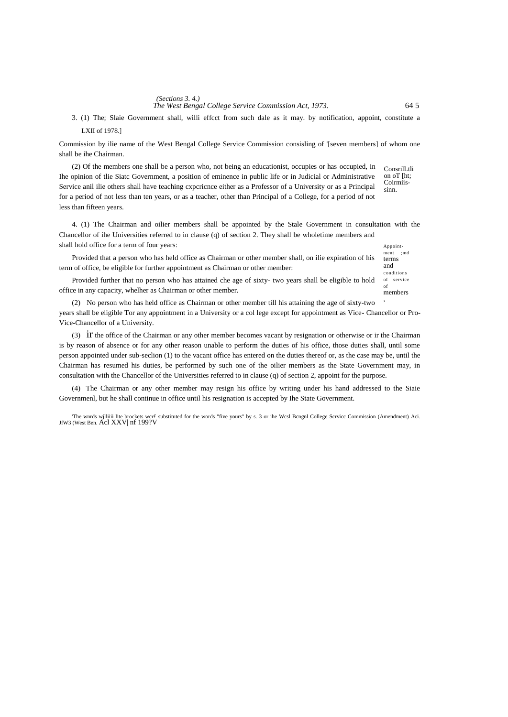*(Sections 3.4.)*<br>The West Bengal College Service Commission Act, 1973. 64 5

ment ;md terms and conditions

LXII of 1978.] 3. (1) The; Slaie Government shall, willi effcct from such dale as it may. by notification, appoint, constitute a

Commission by ilie name of the West Bengal College Service Commission consisling of '[seven members] of whom one shall be ihe Chairman.

ConsrilLtli on oT [ht; Coirmiissinn. (2) Of the members one shall be a person who, not being an educationist, occupies or has occupied, in Ihe opinion of tlie Siatc Government, a position of eminence in public life or in Judicial or Administrative Service anil ilie others shall have teaching cxpcricnce either as a Professor of a University or as a Principal for a period of not less than ten years, or as a teacher, other than Principal of a College, for a period of not less than fifteen years.

Appoint-4. (1) The Chairman and oilier members shall be appointed by the Stale Government in consultation with the Chancellor of ihe Universities referred to in clause (q) of section 2. They shall be wholetime members and shall hold office for a term of four years:

Provided that a person who has held office as Chairman or other member shall, on ilie expiration of his term of office, be eligible for further appointment as Chairman or other member:

of service  $\alpha$ f members Provided further that no person who has attained che age of sixty- two years shall be eligible to hold office in any capacity, whelher as Chairman or other member.

, (2) No person who has held office as Chairman or other member till his attaining the age of sixty-two years shall be eligible Tor any appointment in a University or a col lege except for appointment as Vice- Chancellor or Pro-Vice-Chancellor of a University.

(3) ir the office of the Chairman or any other member becomes vacant by resignation or otherwise or ir the Chairman is by reason of absence or for any other reason unable to perform the duties of his office, those duties shall, until some person appointed under sub-seclion (1) to the vacant office has entered on the duties thereof or, as the case may be, until the Chairman has resumed his duties, be performed by such one of the oilier members as the State Government may, in consultation with the Chancellor of the Universities referred to in clause (q) of section 2, appoint for the purpose.

(4) The Chairman or any other member may resign his office by writing under his hand addressed to the Siaie Governmenl, but he shall continue in office until his resignation is accepted by Ihe State Government.

'The wnrds wjlliiii lite brockets wcr£ substituted for the words "five yours" by s. 3 or ihe Wcsl Bcngnl College Scrvicc Commission (Amendment) Aci. JfW3 (West Ben. Acl XXV| nf 199?V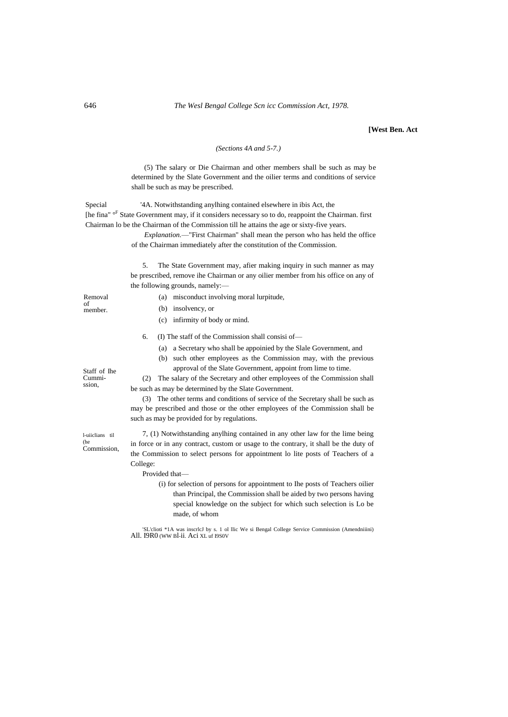## **[West Ben. Act**

## *(Sections 4A and 5-7.)*

(5) The salary or Die Chairman and other members shall be such as may be determined by the Slate Government and the oilier terms and conditions of service shall be such as may be prescribed.

Special '4A. Notwithstanding anylhing contained elsewhere in ibis Act, the [he fina" <sup>oF</sup> State Government may, if it considers necessary so to do, reappoint the Chairman. first Chairman lo be the Chairman of the Commission till he attains the age or sixty-five years.

> *Explanation.*—"First Chairman" shall mean the person who has held the office of the Chairman immediately after the constitution of the Commission.

5. The State Government may, afier making inquiry in such manner as may be prescribed, remove ihe Chairman or any oilier member from his office on any of the following grounds, namely:—

- (a) misconduct involving moral lurpitude,
- (b) insolvency, or
- (c) infirmity of body or mind.
- 6. (I) The staff of the Commission shall consisi of—
	- (a) a Secretary who shall be appoinied by the Slale Government, and
	- (b) such other employees as the Commission may, with the previous approval of the Slate Government, appoint from lime to time.

(2) The salary of the Secretary and other employees of the Commission shall be such as may be determined by the Slate Government.

(3) The other terms and conditions of service of the Secretary shall be such as may be prescribed and those or the other employees of the Commission shall be such as may be provided for by regulations.

7, (1) Notwithstanding anylhing contained in any other law for the lime being in force or in any contract, custom or usage to the contrary, it shall be the duty of the Commission to select persons for appointment lo lite posts of Teachers of a College:

#### Provided that—

(i) for selection of persons for appointment to Ihe posts of Teachers oilier than Principal, the Commission shall be aided by two persons having special knowledge on the subject for which such selection is Lo be made, of whom

'SL'clioti \*1A was inscrlcJ by s. 1 ol llic We si Bengal College Service Commission (Amendniiini) All. I9R0 (WW Bl-ii. Aci XL uf I9S0V

Staff of Ihe Cummission,

Removal of member.

l-uiiclians til (he Commission,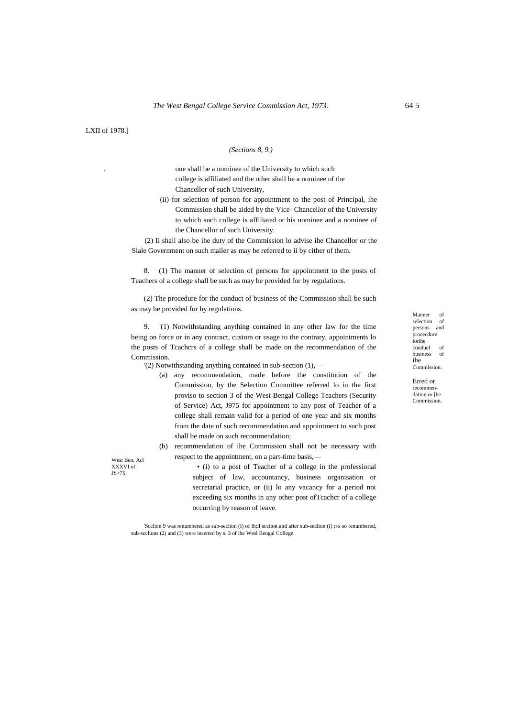LXII of 1978.]

### *(Sections 8, 9.)*

. one shall be a nominee of the University to which such college is affiliated and the other shall be a nominee of the Chancellor of such University,

(ii) for selection of person for appointment to the post of Principal, ihe Commission shall be aided by the Vice- Chancellor of the University to which such college is affiliated or his nominee and a nominee of the Chancellor of such University.

(2) Ii shall also be ihe duty of the Commission lo advise ihe Chancellor or the Slale Government on such mailer as may be referred to ii by cither of them.

8. (1) The manner of selection of persons for appointment to the posts of Teachers of a college shall be such as may be provided for by regulations.

(2) The procedure for the conduct of business of the Commission shall be such as may be provided for by regulations.

9. '(1) Notwithstanding anything contained in any other law for the time being on force or in any contract, custom or usage to the contrary, appointments lo the posts of Tcachcrs of a college shall be made on the recommendation of the Commission.

'(2) Notwithstanding anything contained in sub-section (1),—

- (a) any recommendation, made before the constitution of the Commission, by the Selection Committee referred lo in the first proviso to section 3 of the West Bengal College Teachers (Security of Service) Act, J975 for appointment to any post of Teacher of a college shall remain valid for a period of one year and six months from the date of such recommendation and appointment to such post shall be made on such recommendation;
- (b) recommendation of ihe Commission shall not be necessary with respect to the appointment, on a part-time basis,—

West Ben. Acl XXXVI of JS>75.

• (i) to a post of Teacher of a college in the professional subject of law, accountancy, business organisation or secretarial practice, or (ii) lo any vacancy for a period noi exceeding six months in any other post ofTcachcr of a college occurring by reason of leave.

'Scclion 9 was renumbered as sub-seclion (I) of lh;il scciion and after sub-seclion (I) ;«s so renumbered, sub-scclions (2) and (3) were inserted by s. 3 of ihe Wesl Bengal College

Manner of selection of persons and procecdure lorihe conduel of business of ihe Commission.

Erred or recommendation or [he Commission.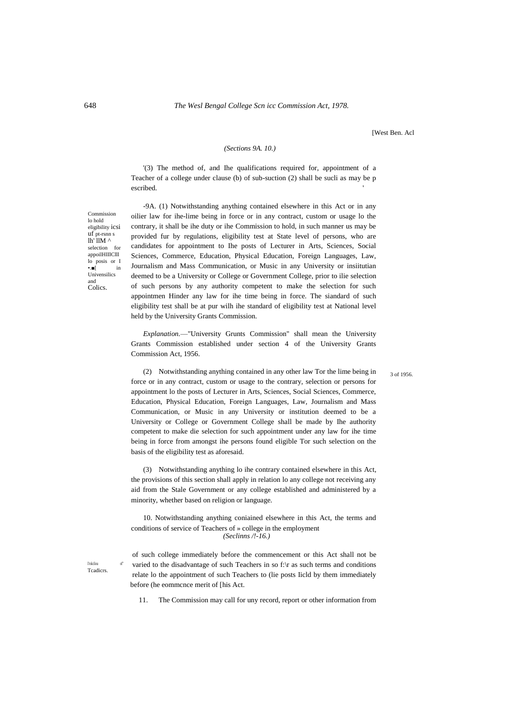[West Ben. Acl

## *(Sections 9A. 10.)*

'(3) The method of, and Ihe qualifications required for, appointment of a Teacher of a college under clause (b) of sub-suction (2) shall be sucli as may be p escribed. The contract of the contract of the contract of the contract of the contract of the contract of the contract of the contract of the contract of the contract of the contract of the contract of the contract of the

Commission lo hold eligibility icsi uf pt-rsnn s lh' llM ^ selection for appoilHIIlClll lo posis or I •.■[ in Univensilics and Colics.

-9A. (1) Notwithstanding anything contained elsewhere in this Act or in any oilier law for ihe-lime being in force or in any contract, custom or usage lo the contrary, it shall be ihe duty or ihe Commission to hold, in such manner us may be provided fur by regulations, eligibility test at State level of persons, who are candidates for appointment to Ihe posts of Lecturer in Arts, Sciences, Social Sciences, Commerce, Education, Physical Education, Foreign Languages, Law, Journalism and Mass Communication, or Music in any University or insiitutian deemed to be a University or College or Government College, prior to ilie selection of such persons by any authority competent to make the selection for such appointmen Hinder any law for ihe time being in force. The siandard of such eligibility test shall be at pur wilh ihe standard of eligibility test at National level held by the University Grants Commission.

*Explanation.*—"University Grunts Commission" shall mean the University Grants Commission established under section 4 of the University Grants Commission Act, 1956.

3 of 1956.

(2) Notwithstanding anything contained in any other law Tor the lime being in force or in any contract, custom or usage to the contrary, selection or persons for appointment lo the posts of Lecturer in Arts, Sciences, Social Sciences, Commerce, Education, Physical Education, Foreign Languages, Law, Journalism and Mass Communication, or Music in any University or institution deemed to be a University or College or Government College shall be made by Ihe authority competent to make die selection for such appointment under any law for ihe time being in force from amongst ihe persons found eligible Tor such selection on the basis of the eligibility test as aforesaid.

(3) Notwithstanding anything lo ihe contrary contained elsewhere in this Act, the provisions of this section shall apply in relation lo any college not receiving any aid from the Stale Government or any college established and administered by a minority, whether based on religion or language.

10. Notwithstanding anything coniained elsewhere in this Act, the terms and conditions of service of Teachers of » college in the employment *(Seclinns /!-16.)*

I'rokclio Tcadicrs.

of such college immediately before the commencement or this Act shall not be varied to the disadvantage of such Teachers in so f:\r as such terms and conditions relate lo the appointment of such Teachers to (lie posts Iicld by them immediately before (he eommcnce merit of [his Act.

11. The Commission may call for uny record, report or other information from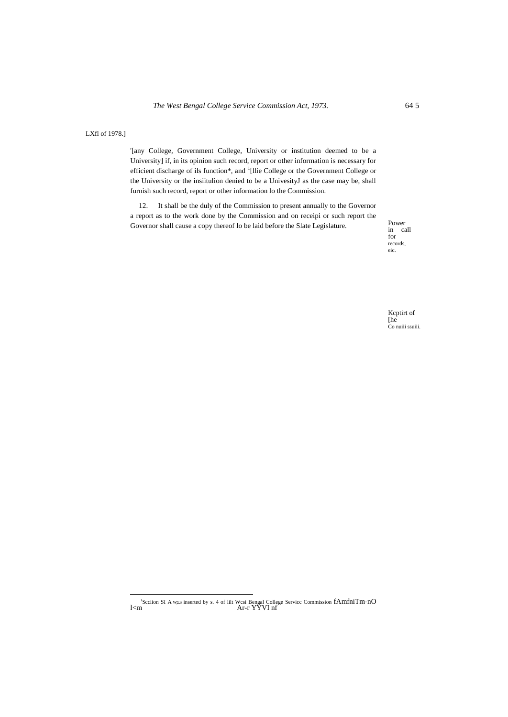LXfl of 1978.]

'[any College, Government College, University or institution deemed to be a University] if, in its opinion such record, report or other information is necessary for efficient discharge of ils function\*, and <sup>1</sup>[llie College or the Government College or the University or the insiitulion denied to be a UnivesityJ as the case may be, shall furnish such record, report or other information lo the Commission.

12. It shall be the duly of the Commission to present annually to the Governor a report as to the work done by the Commission and on receipi or such report the Governor shall cause a copy thereof lo be laid before the Slate Legislature.

Power<br>in call  $\int$  for records, eic.

Keptirt of  $[he]$ Co nuiii ssuiii.

'Scciion SI A was inserted by s. 4 of lilt Wcsi Bengal College Service Commission  $fAmfniTm-nO$ <br>Ar-r ${\bf YYVI}$ nf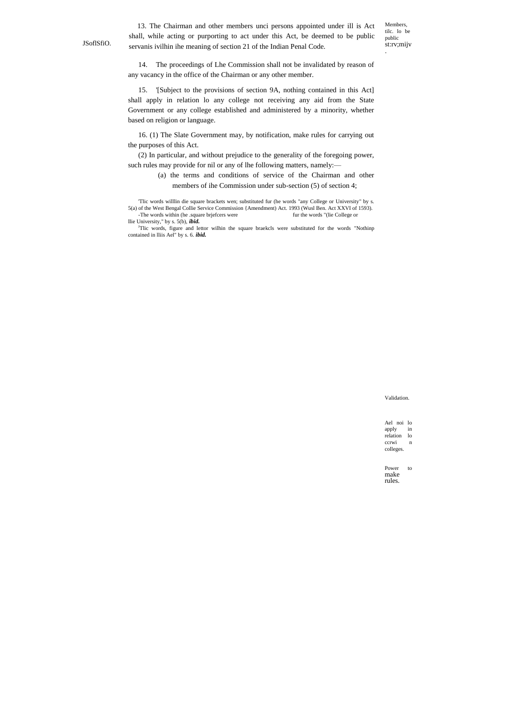JSoflSfiO.

13. The Chairman and other members unci persons appointed under ill is Act shall, while acting or purporting to act under this Act, be deemed to be public servanis ivilhin ihe meaning of section 21 of the Indian Penal Code.

Members, tilc. lo be public st:rv;mijv .

14. The proceedings of Lhe Commission shall not be invalidated by reason of any vacancy in the office of the Chairman or any other member.

15. '[Subject to the provisions of section 9A, nothing contained in this Act] shall apply in relation lo any college not receiving any aid from the State Government or any college established and administered by a minority, whether based on religion or language.

16. (1) The Slate Government may, by notification, make rules for carrying out the purposes of this Act.

(2) In particular, and without prejudice to the generality of the foregoing power, such rules may provide for nil or any of lhe following matters, namely:—

> (a) the terms and conditions of service of the Chairman and other members of ihe Commission under sub-section (5) of section 4;

'Tlic words willlin die square brackets wen; substituted fur (he words "any College or University" by s. 5(a) of the West Bengal Collie Service Commission {Amendment) Act. 1993 (Wusl Ben. Act XXVI of 1593). -The words within (he .square brjefcers were llie University," by s. 5(b), *ibid.*

<sup>J</sup>Tlic words, figure and lettor wilhin the square braekcls were substituted for the words "Nothinp contained in lliis Ael" by s. 6. *ibid.*

Validation.

Ael noi lo apply in relation lo ccrwi n colleges.

Power to make rules.